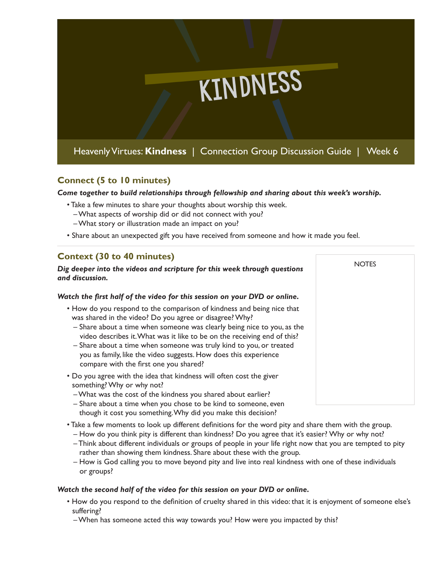

## **Connect (5 to 10 minutes)**

*Come together to build relationships through fellowship and sharing about this week's worship.* 

- Take a few minutes to share your thoughts about worship this week.
	- What aspects of worship did or did not connect with you?
	- What story or illustration made an impact on you?
- Share about an unexpected gift you have received from someone and how it made you feel.

**NOTES** 

# **Context (30 to 40 minutes)**

#### *Dig deeper into the videos and scripture for this week through questions and discussion.*

### *Watch the first half of the video for this session on your DVD or online.*

- How do you respond to the comparison of kindness and being nice that was shared in the video? Do you agree or disagree? Why?
	- Share about a time when someone was clearly being nice to you, as the video describes it. What was it like to be on the receiving end of this?
	- Share about a time when someone was truly kind to you, or treated you as family, like the video suggests. How does this experience compare with the first one you shared?
- Do you agree with the idea that kindness will often cost the giver something? Why or why not?
	- What was the cost of the kindness you shared about earlier?
	- Share about a time when you chose to be kind to someone, even though it cost you something. Why did you make this decision?
- Take a few moments to look up different definitions for the word pity and share them with the group.
	- How do you think pity is different than kindness? Do you agree that it's easier? Why or why not?
	- Think about different individuals or groups of people in your life right now that you are tempted to pity rather than showing them kindness. Share about these with the group.
	- How is God calling you to move beyond pity and live into real kindness with one of these individuals or groups?

### *Watch the second half of the video for this session on your DVD or online.*

- How do you respond to the definition of cruelty shared in this video: that it is enjoyment of someone else's suffering?
	- When has someone acted this way towards you? How were you impacted by this?